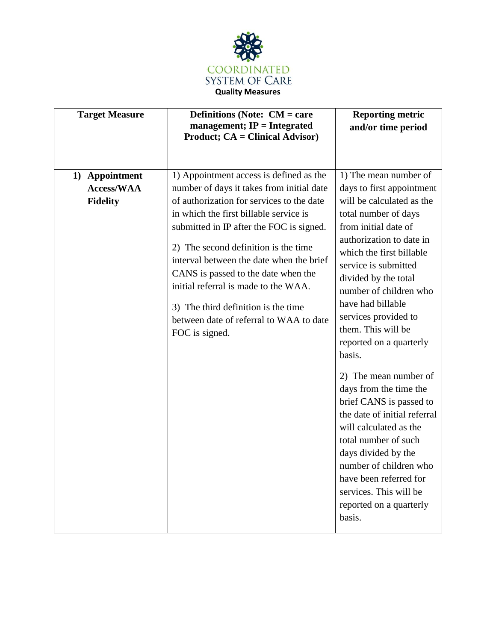

| <b>Target Measure</b>                                  | <b>Definitions (Note: <math>CM = care</math></b><br>management; $IP = Integrated$<br><b>Product; CA = Clinical Advisor)</b>                                                                                                                                                                                                                                                                                                                                                                    | <b>Reporting metric</b><br>and/or time period                                                                                                                                                                                                                                                                                                                                                                                                                                                                                                                                                                                                                                       |
|--------------------------------------------------------|------------------------------------------------------------------------------------------------------------------------------------------------------------------------------------------------------------------------------------------------------------------------------------------------------------------------------------------------------------------------------------------------------------------------------------------------------------------------------------------------|-------------------------------------------------------------------------------------------------------------------------------------------------------------------------------------------------------------------------------------------------------------------------------------------------------------------------------------------------------------------------------------------------------------------------------------------------------------------------------------------------------------------------------------------------------------------------------------------------------------------------------------------------------------------------------------|
| 1) Appointment<br><b>Access/WAA</b><br><b>Fidelity</b> | 1) Appointment access is defined as the<br>number of days it takes from initial date<br>of authorization for services to the date<br>in which the first billable service is<br>submitted in IP after the FOC is signed.<br>2) The second definition is the time<br>interval between the date when the brief<br>CANS is passed to the date when the<br>initial referral is made to the WAA.<br>3) The third definition is the time<br>between date of referral to WAA to date<br>FOC is signed. | 1) The mean number of<br>days to first appointment<br>will be calculated as the<br>total number of days<br>from initial date of<br>authorization to date in<br>which the first billable<br>service is submitted<br>divided by the total<br>number of children who<br>have had billable<br>services provided to<br>them. This will be<br>reported on a quarterly<br>basis.<br>2) The mean number of<br>days from the time the<br>brief CANS is passed to<br>the date of initial referral<br>will calculated as the<br>total number of such<br>days divided by the<br>number of children who<br>have been referred for<br>services. This will be<br>reported on a quarterly<br>basis. |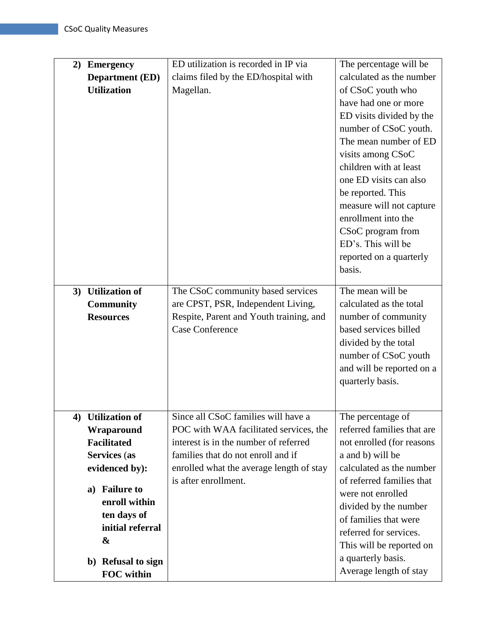| 2) | <b>Emergency</b>       | ED utilization is recorded in IP via     | The percentage will be     |
|----|------------------------|------------------------------------------|----------------------------|
|    | <b>Department (ED)</b> | claims filed by the ED/hospital with     | calculated as the number   |
|    | <b>Utilization</b>     | Magellan.                                | of CSoC youth who          |
|    |                        |                                          | have had one or more       |
|    |                        |                                          | ED visits divided by the   |
|    |                        |                                          | number of CSoC youth.      |
|    |                        |                                          | The mean number of ED      |
|    |                        |                                          | visits among CSoC          |
|    |                        |                                          | children with at least     |
|    |                        |                                          | one ED visits can also     |
|    |                        |                                          | be reported. This          |
|    |                        |                                          | measure will not capture   |
|    |                        |                                          | enrollment into the        |
|    |                        |                                          | CSoC program from          |
|    |                        |                                          | ED's. This will be         |
|    |                        |                                          | reported on a quarterly    |
|    |                        |                                          | basis.                     |
|    |                        |                                          |                            |
| 3) | <b>Utilization of</b>  | The CSoC community based services        | The mean will be           |
|    | <b>Community</b>       | are CPST, PSR, Independent Living,       | calculated as the total    |
|    | <b>Resources</b>       | Respite, Parent and Youth training, and  | number of community        |
|    |                        | <b>Case Conference</b>                   | based services billed      |
|    |                        |                                          | divided by the total       |
|    |                        |                                          | number of CSoC youth       |
|    |                        |                                          | and will be reported on a  |
|    |                        |                                          | quarterly basis.           |
|    |                        |                                          |                            |
|    | 4) Utilization of      | Since all CSoC families will have a      | The percentage of          |
|    | Wraparound             | POC with WAA facilitated services, the   | referred families that are |
|    | <b>Facilitated</b>     | interest is in the number of referred    | not enrolled (for reasons  |
|    | Services (as           | families that do not enroll and if       | a and b) will be           |
|    | evidenced by):         | enrolled what the average length of stay | calculated as the number   |
|    |                        | is after enrollment.                     | of referred families that  |
|    | a) Failure to          |                                          | were not enrolled          |
|    | enroll within          |                                          | divided by the number      |
|    | ten days of            |                                          | of families that were      |
|    | initial referral       |                                          | referred for services.     |
|    | &                      |                                          | This will be reported on   |
|    | b) Refusal to sign     |                                          | a quarterly basis.         |
|    | FOC within             |                                          | Average length of stay     |
|    |                        |                                          |                            |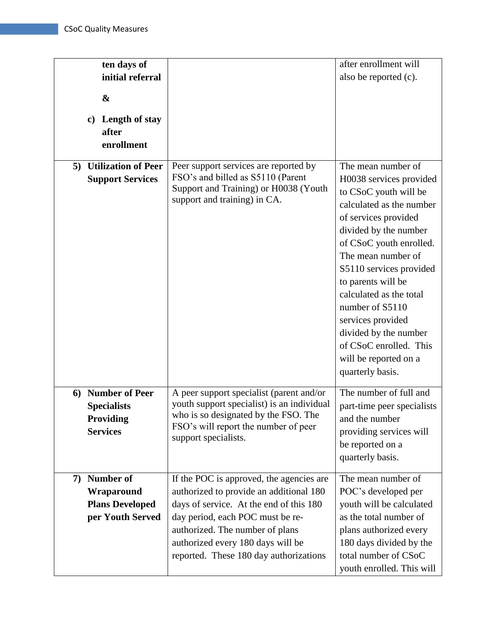| ten days of<br>initial referral<br>&<br>c) Length of stay<br>after<br>enrollment   |                                                                                                                                                                                                                                                                                      | after enrollment will<br>also be reported (c).                                                                                                                                                                                                                                                                                                                                                                           |
|------------------------------------------------------------------------------------|--------------------------------------------------------------------------------------------------------------------------------------------------------------------------------------------------------------------------------------------------------------------------------------|--------------------------------------------------------------------------------------------------------------------------------------------------------------------------------------------------------------------------------------------------------------------------------------------------------------------------------------------------------------------------------------------------------------------------|
| 5) Utilization of Peer<br><b>Support Services</b>                                  | Peer support services are reported by<br>FSO's and billed as S5110 (Parent<br>Support and Training) or H0038 (Youth<br>support and training) in CA.                                                                                                                                  | The mean number of<br>H0038 services provided<br>to CSoC youth will be<br>calculated as the number<br>of services provided<br>divided by the number<br>of CSoC youth enrolled.<br>The mean number of<br>S5110 services provided<br>to parents will be<br>calculated as the total<br>number of S5110<br>services provided<br>divided by the number<br>of CSoC enrolled. This<br>will be reported on a<br>quarterly basis. |
| <b>Number of Peer</b><br>6<br><b>Specialists</b><br>Providing<br><b>Services</b>   | A peer support specialist (parent and/or<br>youth support specialist) is an individual<br>who is so designated by the FSO. The<br>FSO's will report the number of peer<br>support specialists.                                                                                       | The number of full and<br>part-time peer specialists<br>and the number<br>providing services will<br>be reported on a<br>quarterly basis.                                                                                                                                                                                                                                                                                |
| <b>Number of</b><br>7)<br>Wraparound<br><b>Plans Developed</b><br>per Youth Served | If the POC is approved, the agencies are<br>authorized to provide an additional 180<br>days of service. At the end of this 180<br>day period, each POC must be re-<br>authorized. The number of plans<br>authorized every 180 days will be<br>reported. These 180 day authorizations | The mean number of<br>POC's developed per<br>youth will be calculated<br>as the total number of<br>plans authorized every<br>180 days divided by the<br>total number of CSoC<br>youth enrolled. This will                                                                                                                                                                                                                |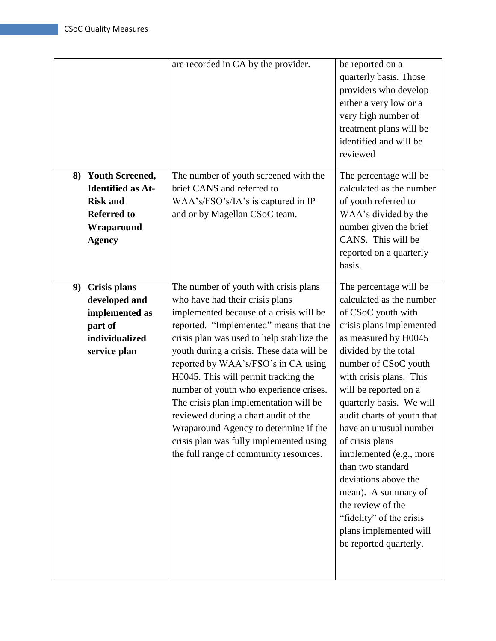|    |                                                                                                                        | are recorded in CA by the provider.                                                                                                                                                                                                                                                                                                                                                                                                                                                                                                                                                               | be reported on a<br>quarterly basis. Those<br>providers who develop<br>either a very low or a<br>very high number of<br>treatment plans will be<br>identified and will be<br>reviewed                                                                                                                                                                                                                                                                                                                                                       |
|----|------------------------------------------------------------------------------------------------------------------------|---------------------------------------------------------------------------------------------------------------------------------------------------------------------------------------------------------------------------------------------------------------------------------------------------------------------------------------------------------------------------------------------------------------------------------------------------------------------------------------------------------------------------------------------------------------------------------------------------|---------------------------------------------------------------------------------------------------------------------------------------------------------------------------------------------------------------------------------------------------------------------------------------------------------------------------------------------------------------------------------------------------------------------------------------------------------------------------------------------------------------------------------------------|
|    | 8) Youth Screened,<br><b>Identified as At-</b><br><b>Risk and</b><br><b>Referred to</b><br>Wraparound<br><b>Agency</b> | The number of youth screened with the<br>brief CANS and referred to<br>WAA's/FSO's/IA's is captured in IP<br>and or by Magellan CSoC team.                                                                                                                                                                                                                                                                                                                                                                                                                                                        | The percentage will be<br>calculated as the number<br>of youth referred to<br>WAA's divided by the<br>number given the brief<br>CANS. This will be<br>reported on a quarterly<br>basis.                                                                                                                                                                                                                                                                                                                                                     |
| 9) | <b>Crisis plans</b><br>developed and<br>implemented as<br>part of<br>individualized<br>service plan                    | The number of youth with crisis plans<br>who have had their crisis plans<br>implemented because of a crisis will be<br>reported. "Implemented" means that the<br>crisis plan was used to help stabilize the<br>youth during a crisis. These data will be<br>reported by WAA's/FSO's in CA using<br>H0045. This will permit tracking the<br>number of youth who experience crises.<br>The crisis plan implementation will be<br>reviewed during a chart audit of the<br>Wraparound Agency to determine if the<br>crisis plan was fully implemented using<br>the full range of community resources. | The percentage will be<br>calculated as the number<br>of CSoC youth with<br>crisis plans implemented<br>as measured by H0045<br>divided by the total<br>number of CSoC youth<br>with crisis plans. This<br>will be reported on a<br>quarterly basis. We will<br>audit charts of youth that<br>have an unusual number<br>of crisis plans<br>implemented (e.g., more<br>than two standard<br>deviations above the<br>mean). A summary of<br>the review of the<br>"fidelity" of the crisis<br>plans implemented will<br>be reported quarterly. |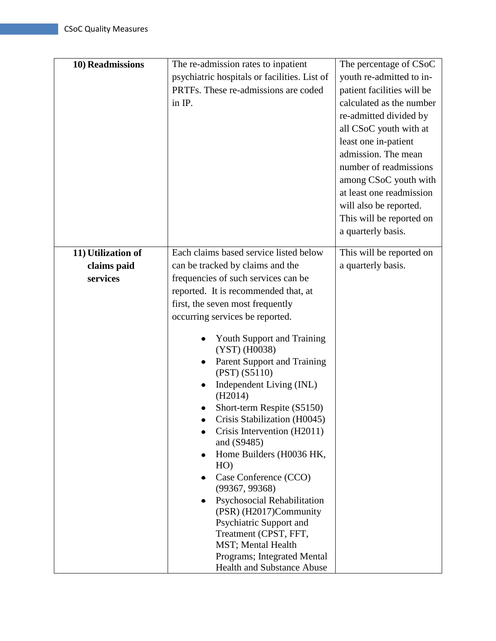| 10) Readmissions   | The re-admission rates to inpatient                          | The percentage of CSoC                           |
|--------------------|--------------------------------------------------------------|--------------------------------------------------|
|                    | psychiatric hospitals or facilities. List of                 | youth re-admitted to in-                         |
|                    | PRTFs. These re-admissions are coded                         | patient facilities will be                       |
|                    | in IP.                                                       | calculated as the number                         |
|                    |                                                              | re-admitted divided by<br>all CSoC youth with at |
|                    |                                                              | least one in-patient                             |
|                    |                                                              | admission. The mean                              |
|                    |                                                              | number of readmissions                           |
|                    |                                                              | among CSoC youth with                            |
|                    |                                                              | at least one readmission                         |
|                    |                                                              | will also be reported.                           |
|                    |                                                              | This will be reported on                         |
|                    |                                                              | a quarterly basis.                               |
| 11) Utilization of | Each claims based service listed below                       | This will be reported on                         |
| claims paid        | can be tracked by claims and the                             | a quarterly basis.                               |
| services           | frequencies of such services can be                          |                                                  |
|                    | reported. It is recommended that, at                         |                                                  |
|                    | first, the seven most frequently                             |                                                  |
|                    | occurring services be reported.                              |                                                  |
|                    | <b>Youth Support and Training</b><br>(YST) (H0038)           |                                                  |
|                    | Parent Support and Training<br>(PST) (S5110)                 |                                                  |
|                    | Independent Living (INL)<br>(H2014)                          |                                                  |
|                    | Short-term Respite (S5150)                                   |                                                  |
|                    | Crisis Stabilization (H0045)                                 |                                                  |
|                    | Crisis Intervention (H2011)<br>and (S9485)                   |                                                  |
|                    | Home Builders (H0036 HK,<br>HO)                              |                                                  |
|                    | Case Conference (CCO)<br>(99367, 99368)                      |                                                  |
|                    | <b>Psychosocial Rehabilitation</b><br>(PSR) (H2017)Community |                                                  |
|                    | Psychiatric Support and                                      |                                                  |
|                    | Treatment (CPST, FFT,                                        |                                                  |
|                    | MST; Mental Health<br>Programs; Integrated Mental            |                                                  |
|                    | <b>Health and Substance Abuse</b>                            |                                                  |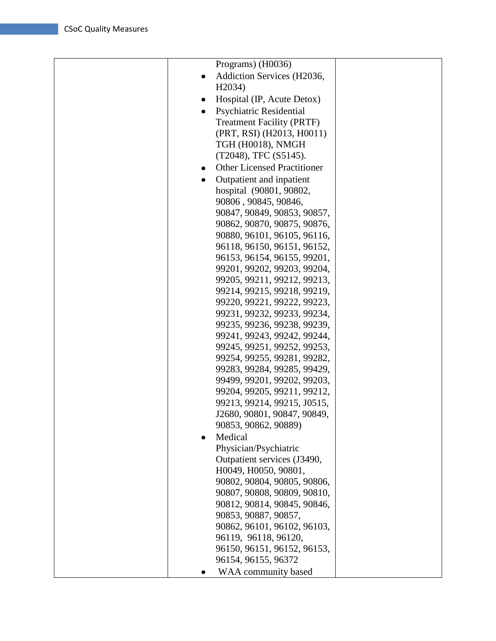| Programs) (H0036)                       |  |
|-----------------------------------------|--|
| Addiction Services (H2036,<br>$\bullet$ |  |
| H <sub>2</sub> 034)                     |  |
| Hospital (IP, Acute Detox)<br>٠         |  |
| <b>Psychiatric Residential</b>          |  |
| <b>Treatment Facility (PRTF)</b>        |  |
| (PRT, RSI) (H2013, H0011)               |  |
| TGH (H0018), NMGH                       |  |
| (T2048), TFC (S5145).                   |  |
| <b>Other Licensed Practitioner</b>      |  |
|                                         |  |
| Outpatient and inpatient<br>$\bullet$   |  |
| hospital (90801, 90802,                 |  |
| 90806, 90845, 90846,                    |  |
| 90847, 90849, 90853, 90857,             |  |
| 90862, 90870, 90875, 90876,             |  |
| 90880, 96101, 96105, 96116,             |  |
| 96118, 96150, 96151, 96152,             |  |
| 96153, 96154, 96155, 99201,             |  |
| 99201, 99202, 99203, 99204,             |  |
| 99205, 99211, 99212, 99213,             |  |
| 99214, 99215, 99218, 99219,             |  |
| 99220, 99221, 99222, 99223,             |  |
| 99231, 99232, 99233, 99234,             |  |
| 99235, 99236, 99238, 99239,             |  |
| 99241, 99243, 99242, 99244,             |  |
| 99245, 99251, 99252, 99253,             |  |
| 99254, 99255, 99281, 99282,             |  |
| 99283, 99284, 99285, 99429,             |  |
| 99499, 99201, 99202, 99203,             |  |
| 99204, 99205, 99211, 99212,             |  |
| 99213, 99214, 99215, J0515,             |  |
| J2680, 90801, 90847, 90849,             |  |
| 90853, 90862, 90889)                    |  |
| Medical                                 |  |
| Physician/Psychiatric                   |  |
| Outpatient services (J3490,             |  |
| H0049, H0050, 90801,                    |  |
| 90802, 90804, 90805, 90806,             |  |
| 90807, 90808, 90809, 90810,             |  |
| 90812, 90814, 90845, 90846,             |  |
| 90853, 90887, 90857,                    |  |
| 90862, 96101, 96102, 96103,             |  |
| 96119, 96118, 96120,                    |  |
| 96150, 96151, 96152, 96153,             |  |
| 96154, 96155, 96372                     |  |
| WAA community based                     |  |
|                                         |  |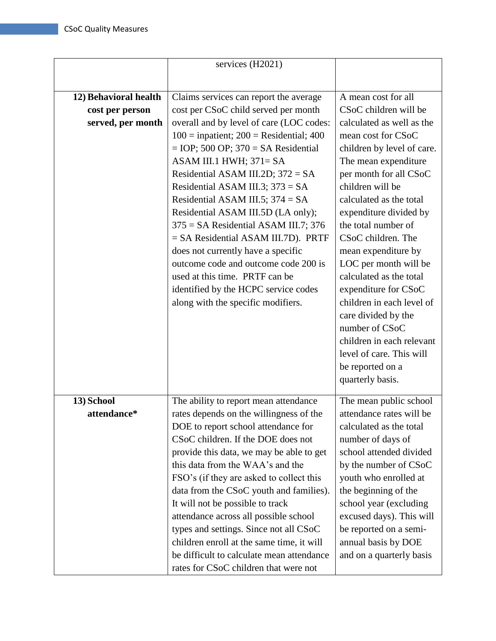|                       | services (H2021)                            |                            |
|-----------------------|---------------------------------------------|----------------------------|
|                       |                                             |                            |
| 12) Behavioral health | Claims services can report the average      | A mean cost for all        |
|                       |                                             | CSoC children will be      |
| cost per person       | cost per CSoC child served per month        |                            |
| served, per month     | overall and by level of care (LOC codes:    | calculated as well as the  |
|                       | $100 =$ inpatient; $200 =$ Residential; 400 | mean cost for CSoC         |
|                       | $=$ IOP; 500 OP; 370 = SA Residential       | children by level of care. |
|                       | ASAM III.1 HWH; $371 = SA$                  | The mean expenditure       |
|                       | Residential ASAM III.2D; $372 = SA$         | per month for all CSoC     |
|                       | Residential ASAM III.3; $373 = SA$          | children will be           |
|                       | Residential ASAM III.5; $374 = SA$          | calculated as the total    |
|                       | Residential ASAM III.5D (LA only);          | expenditure divided by     |
|                       | $375 = SA$ Residential ASAM III.7; 376      | the total number of        |
|                       | = SA Residential ASAM III.7D). PRTF         | CSoC children. The         |
|                       | does not currently have a specific          | mean expenditure by        |
|                       | outcome code and outcome code 200 is        | LOC per month will be      |
|                       | used at this time. PRTF can be              | calculated as the total    |
|                       | identified by the HCPC service codes        | expenditure for CSoC       |
|                       | along with the specific modifiers.          | children in each level of  |
|                       |                                             | care divided by the        |
|                       |                                             | number of CSoC             |
|                       |                                             | children in each relevant  |
|                       |                                             | level of care. This will   |
|                       |                                             | be reported on a           |
|                       |                                             | quarterly basis.           |
|                       |                                             |                            |
| 13) School            | The ability to report mean attendance       | The mean public school     |
| attendance*           | rates depends on the willingness of the     | attendance rates will be   |
|                       | DOE to report school attendance for         | calculated as the total    |
|                       | CSoC children. If the DOE does not          | number of days of          |
|                       | provide this data, we may be able to get    | school attended divided    |
|                       | this data from the WAA's and the            | by the number of CSoC      |
|                       | FSO's (if they are asked to collect this    | youth who enrolled at      |
|                       | data from the CSoC youth and families).     | the beginning of the       |
|                       | It will not be possible to track            | school year (excluding     |
|                       | attendance across all possible school       | excused days). This will   |
|                       | types and settings. Since not all CSoC      | be reported on a semi-     |
|                       | children enroll at the same time, it will   | annual basis by DOE        |
|                       | be difficult to calculate mean attendance   | and on a quarterly basis   |
|                       | rates for CSoC children that were not       |                            |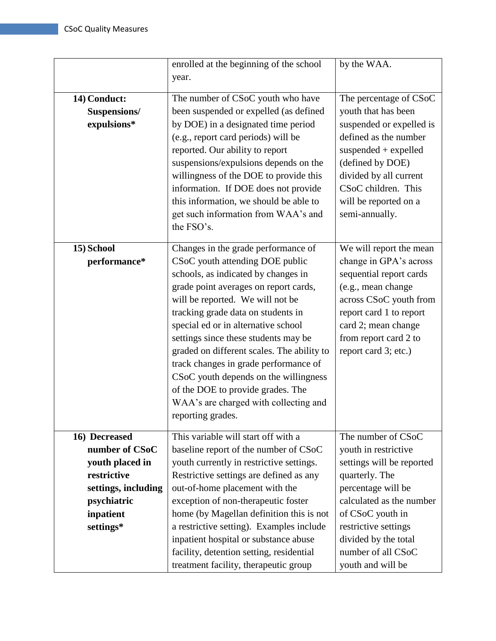|                     | enrolled at the beginning of the school    | by the WAA.               |
|---------------------|--------------------------------------------|---------------------------|
|                     | year.                                      |                           |
|                     |                                            |                           |
| 14) Conduct:        | The number of CSoC youth who have          | The percentage of CSoC    |
| Suspensions/        | been suspended or expelled (as defined     | youth that has been       |
| expulsions*         | by DOE) in a designated time period        | suspended or expelled is  |
|                     | (e.g., report card periods) will be        | defined as the number     |
|                     | reported. Our ability to report            | suspended $+$ expelled    |
|                     | suspensions/expulsions depends on the      | (defined by DOE)          |
|                     | willingness of the DOE to provide this     | divided by all current    |
|                     | information. If DOE does not provide       | CSoC children. This       |
|                     | this information, we should be able to     | will be reported on a     |
|                     | get such information from WAA's and        | semi-annually.            |
|                     | the FSO's.                                 |                           |
|                     |                                            |                           |
| 15) School          | Changes in the grade performance of        | We will report the mean   |
| performance*        | CSoC youth attending DOE public            | change in GPA's across    |
|                     | schools, as indicated by changes in        | sequential report cards   |
|                     | grade point averages on report cards,      | (e.g., mean change        |
|                     | will be reported. We will not be           | across CSoC youth from    |
|                     | tracking grade data on students in         | report card 1 to report   |
|                     | special ed or in alternative school        | card 2; mean change       |
|                     | settings since these students may be       | from report card 2 to     |
|                     | graded on different scales. The ability to | report card 3; etc.)      |
|                     | track changes in grade performance of      |                           |
|                     | CSoC youth depends on the willingness      |                           |
|                     | of the DOE to provide grades. The          |                           |
|                     | WAA's are charged with collecting and      |                           |
|                     | reporting grades.                          |                           |
|                     | This variable will start off with a        |                           |
| 16) Decreased       |                                            | The number of CSoC        |
| number of CSoC      | baseline report of the number of CSoC      | youth in restrictive      |
| youth placed in     | youth currently in restrictive settings.   | settings will be reported |
| restrictive         | Restrictive settings are defined as any    | quarterly. The            |
| settings, including | out-of-home placement with the             | percentage will be        |
| psychiatric         | exception of non-therapeutic foster        | calculated as the number  |
| inpatient           | home (by Magellan definition this is not   | of CSoC youth in          |
| settings*           | a restrictive setting). Examples include   | restrictive settings      |
|                     | inpatient hospital or substance abuse      | divided by the total      |
|                     | facility, detention setting, residential   | number of all CSoC        |
|                     | treatment facility, therapeutic group      | youth and will be         |